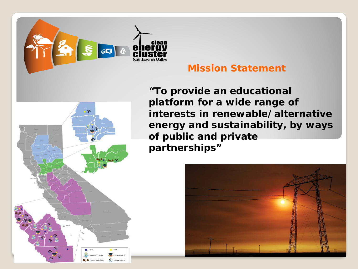

### **Mission Statement**

 $\Omega$ S<sup>2</sup> Enterprise Zo

*"To provide an educational platform for a wide range of interests in renewable/alternative energy and sustainability, by ways of public and private partnerships"*

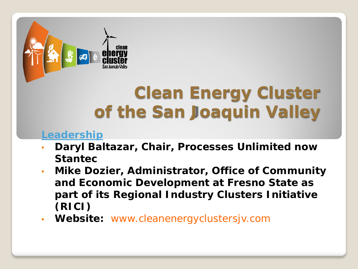

## **Clean Energy Cluster of the San Joaquin Valley**

#### **Leadership**

- **Daryl Baltazar, Chair, Processes Unlimited now Stantec**
- **Mike Dozier, Administrator, Office of Community and Economic Development at Fresno State as part of its Regional Industry Clusters Initiative (RICI)**
- **Website:** www.cleanenergyclustersjv.com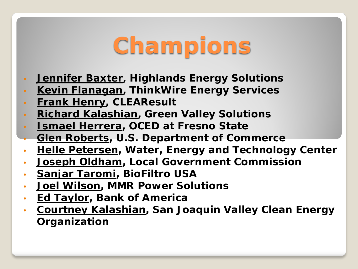# **Champions**

- **Jennifer Baxter, Highlands Energy Solutions**
- **Kevin Flanagan, ThinkWire Energy Services**
- **Frank Henry, CLEAResult**
- **Richard Kalashian, Green Valley Solutions**
- **Ismael Herrera, OCED at Fresno State**
- **Glen Roberts, U.S. Department of Commerce**
- **Helle Petersen, Water, Energy and Technology Center**
- **Joseph Oldham, Local Government Commission**
- **Sanjar Taromi, BioFiltro USA**
- **Joel Wilson, MMR Power Solutions**
- **Ed Taylor, Bank of America**
- **Courtney Kalashian, San Joaquin Valley Clean Energy Organization**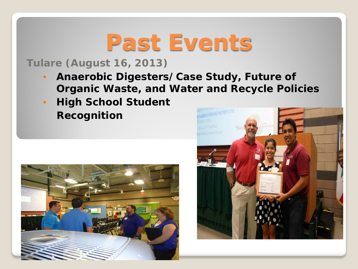## **Past Events**

### **Tulare (August 16, 2013)**

- *Anaerobic Digesters/Case Study, Future of Organic Waste, and Water and Recycle Policies*
- *High School Student Recognition*